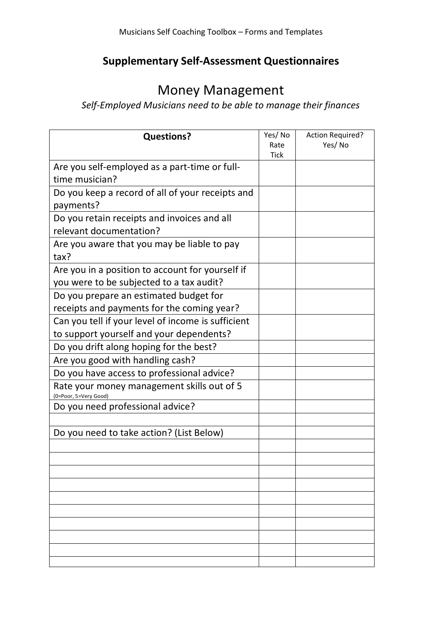## **Supplementary Self-Assessment Questionnaires**

## Money Management

## *Self-Employed Musicians need to be able to manage their finances*

| <b>Questions?</b>                                                   | Yes/No<br>Rate | <b>Action Required?</b><br>Yes/No |
|---------------------------------------------------------------------|----------------|-----------------------------------|
|                                                                     | <b>Tick</b>    |                                   |
| Are you self-employed as a part-time or full-                       |                |                                   |
| time musician?                                                      |                |                                   |
| Do you keep a record of all of your receipts and                    |                |                                   |
| payments?                                                           |                |                                   |
| Do you retain receipts and invoices and all                         |                |                                   |
| relevant documentation?                                             |                |                                   |
| Are you aware that you may be liable to pay<br>tax?                 |                |                                   |
| Are you in a position to account for yourself if                    |                |                                   |
| you were to be subjected to a tax audit?                            |                |                                   |
| Do you prepare an estimated budget for                              |                |                                   |
| receipts and payments for the coming year?                          |                |                                   |
| Can you tell if your level of income is sufficient                  |                |                                   |
| to support yourself and your dependents?                            |                |                                   |
| Do you drift along hoping for the best?                             |                |                                   |
| Are you good with handling cash?                                    |                |                                   |
| Do you have access to professional advice?                          |                |                                   |
| Rate your money management skills out of 5<br>(0=Poor, 5=Very Good) |                |                                   |
| Do you need professional advice?                                    |                |                                   |
|                                                                     |                |                                   |
| Do you need to take action? (List Below)                            |                |                                   |
|                                                                     |                |                                   |
|                                                                     |                |                                   |
|                                                                     |                |                                   |
|                                                                     |                |                                   |
|                                                                     |                |                                   |
|                                                                     |                |                                   |
|                                                                     |                |                                   |
|                                                                     |                |                                   |
|                                                                     |                |                                   |